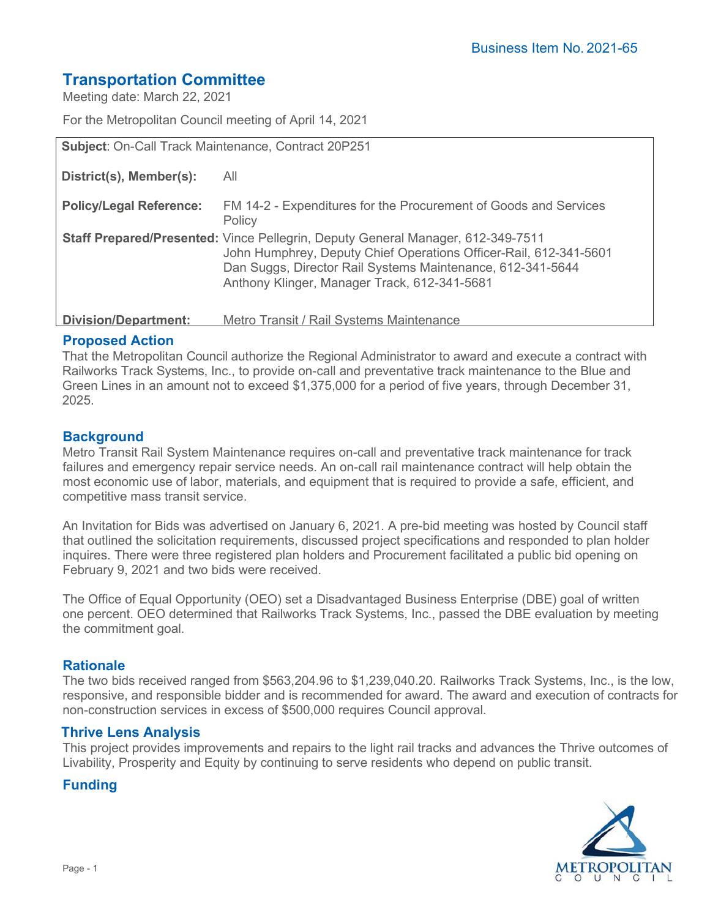# **Transportation Committee**

Meeting date: March 22, 2021

For the Metropolitan Council meeting of April 14, 2021

| Subject: On-Call Track Maintenance, Contract 20P251 |                                                                                                                                                                                                                                                                           |
|-----------------------------------------------------|---------------------------------------------------------------------------------------------------------------------------------------------------------------------------------------------------------------------------------------------------------------------------|
| District(s), Member(s):                             | All                                                                                                                                                                                                                                                                       |
| <b>Policy/Legal Reference:</b>                      | FM 14-2 - Expenditures for the Procurement of Goods and Services<br>Policy                                                                                                                                                                                                |
|                                                     | <b>Staff Prepared/Presented:</b> Vince Pellegrin, Deputy General Manager, 612-349-7511<br>John Humphrey, Deputy Chief Operations Officer-Rail, 612-341-5601<br>Dan Suggs, Director Rail Systems Maintenance, 612-341-5644<br>Anthony Klinger, Manager Track, 612-341-5681 |
| Division/Department:                                | Metro Transit / Rail Systems Maintenance                                                                                                                                                                                                                                  |

#### **Proposed Action**

That the Metropolitan Council authorize the Regional Administrator to award and execute a contract with Railworks Track Systems, Inc., to provide on-call and preventative track maintenance to the Blue and Green Lines in an amount not to exceed \$1,375,000 for a period of five years, through December 31, 2025.

## **Background**

Metro Transit Rail System Maintenance requires on-call and preventative track maintenance for track failures and emergency repair service needs. An on-call rail maintenance contract will help obtain the most economic use of labor, materials, and equipment that is required to provide a safe, efficient, and competitive mass transit service.

An Invitation for Bids was advertised on January 6, 2021. A pre-bid meeting was hosted by Council staff that outlined the solicitation requirements, discussed project specifications and responded to plan holder inquires. There were three registered plan holders and Procurement facilitated a public bid opening on February 9, 2021 and two bids were received.

The Office of Equal Opportunity (OEO) set a Disadvantaged Business Enterprise (DBE) goal of written one percent. OEO determined that Railworks Track Systems, Inc., passed the DBE evaluation by meeting the commitment goal.

#### **Rationale**

The two bids received ranged from \$563,204.96 to \$1,239,040.20. Railworks Track Systems, Inc., is the low, responsive, and responsible bidder and is recommended for award. The award and execution of contracts for non-construction services in excess of \$500,000 requires Council approval.

#### **Thrive Lens Analysis**

This project provides improvements and repairs to the light rail tracks and advances the Thrive outcomes of Livability, Prosperity and Equity by continuing to serve residents who depend on public transit.

## **Funding**